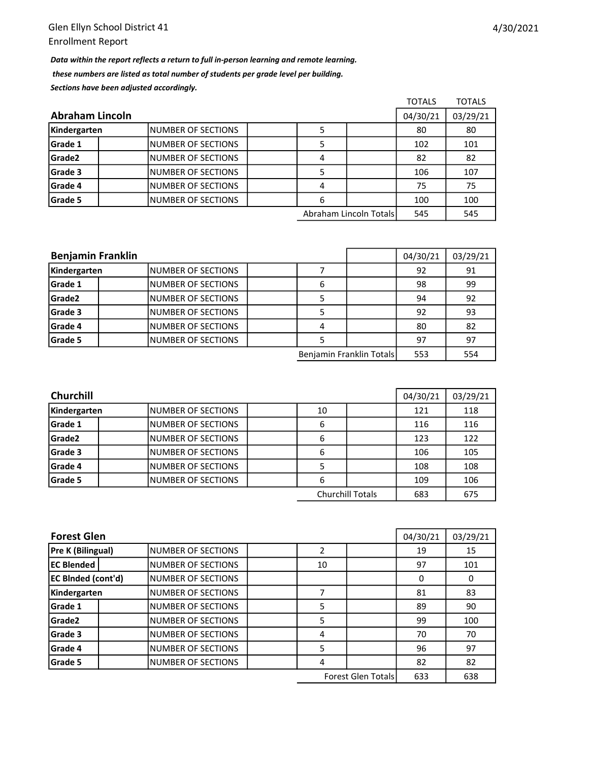Data within the report reflects a return to full in-person learning and remote learning. these numbers are listed as total number of students per grade level per building. Sections have been adjusted accordingly.

|                        |                           |  |   |                        | <b>TOTALS</b> | <b>TOTALS</b> |
|------------------------|---------------------------|--|---|------------------------|---------------|---------------|
| <b>Abraham Lincoln</b> |                           |  |   |                        |               | 03/29/21      |
| Kindergarten           | <b>NUMBER OF SECTIONS</b> |  |   |                        | 80            | 80            |
| Grade 1                | <b>NUMBER OF SECTIONS</b> |  |   |                        | 102           | 101           |
| Grade2                 | <b>NUMBER OF SECTIONS</b> |  | 4 |                        | 82            | 82            |
| Grade 3                | INUMBER OF SECTIONS       |  |   |                        | 106           | 107           |
| Grade 4                | INUMBER OF SECTIONS       |  | 4 |                        | 75            | 75            |
| Grade 5                | INUMBER OF SECTIONS       |  | 6 |                        | 100           | 100           |
|                        |                           |  |   | Abraham Lincoln Totals | 545           | 545           |

| <b>Benjamin Franklin</b> |                     |  |   |                          | 04/30/21 | 03/29/21 |
|--------------------------|---------------------|--|---|--------------------------|----------|----------|
| Kindergarten             | INUMBER OF SECTIONS |  |   |                          | 92       | 91       |
| Grade 1                  | INUMBER OF SECTIONS |  | 6 |                          | 98       | 99       |
| Grade2                   | INUMBER OF SECTIONS |  |   |                          | 94       | 92       |
| Grade 3                  | INUMBER OF SECTIONS |  |   |                          | 92       | 93       |
| Grade 4                  | INUMBER OF SECTIONS |  |   |                          | 80       | 82       |
| Grade 5                  | INUMBER OF SECTIONS |  |   |                          | 97       | 97       |
|                          |                     |  |   | Benjamin Franklin Totals | 553      | 554      |

| <b>Churchill</b> | 04/30/21                  | 03/29/21 |                         |     |     |
|------------------|---------------------------|----------|-------------------------|-----|-----|
| Kindergarten     | <b>NUMBER OF SECTIONS</b> | 10       |                         | 121 | 118 |
| <b>Grade 1</b>   | <b>NUMBER OF SECTIONS</b> | 6        |                         | 116 | 116 |
| Grade2           | INUMBER OF SECTIONS       | 6        |                         | 123 | 122 |
| Grade 3          | <b>NUMBER OF SECTIONS</b> | 6        |                         | 106 | 105 |
| <b>Grade 4</b>   | <b>NUMBER OF SECTIONS</b> |          |                         | 108 | 108 |
| <b>Grade 5</b>   | INUMBER OF SECTIONS       | 6        |                         | 109 | 106 |
|                  |                           |          | <b>Churchill Totals</b> | 683 | 675 |

| <b>Forest Glen</b>        | 04/30/21                  | 03/29/21 |                           |     |     |
|---------------------------|---------------------------|----------|---------------------------|-----|-----|
| <b>Pre K (Bilingual)</b>  | INUMBER OF SECTIONS       |          |                           | 19  | 15  |
| <b>EC Blended</b>         | <b>NUMBER OF SECTIONS</b> | 10       |                           | 97  | 101 |
| <b>EC BInded (cont'd)</b> | <b>NUMBER OF SECTIONS</b> |          |                           | 0   | 0   |
| Kindergarten              | <b>NUMBER OF SECTIONS</b> |          |                           | 81  | 83  |
| Grade 1                   | <b>NUMBER OF SECTIONS</b> | 5        |                           | 89  | 90  |
| Grade <sub>2</sub>        | <b>NUMBER OF SECTIONS</b> | 5        |                           | 99  | 100 |
| Grade 3                   | <b>NUMBER OF SECTIONS</b> | 4        |                           | 70  | 70  |
| Grade 4                   | <b>NUMBER OF SECTIONS</b> | 5        |                           | 96  | 97  |
| Grade 5                   | <b>NUMBER OF SECTIONS</b> | 4        |                           | 82  | 82  |
|                           |                           |          | <b>Forest Glen Totals</b> | 633 | 638 |